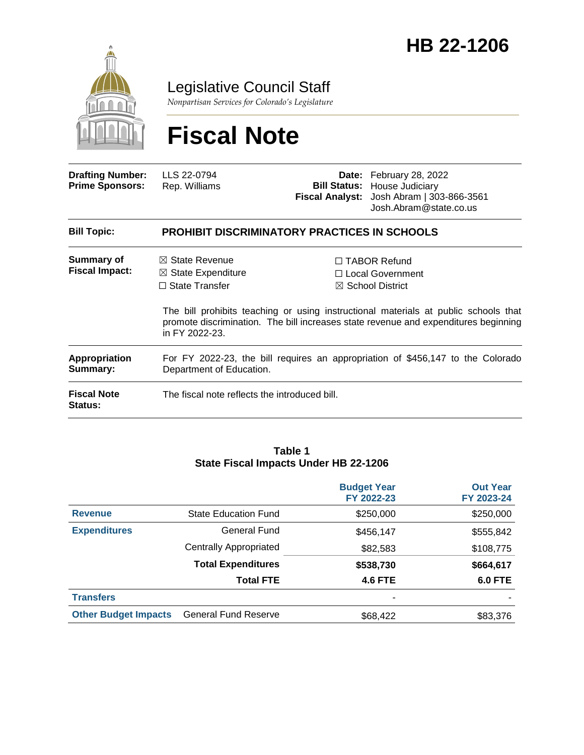

Legislative Council Staff

*Nonpartisan Services for Colorado's Legislature*

# **Fiscal Note**

| <b>Drafting Number:</b><br><b>Prime Sponsors:</b> | LLS 22-0794<br>Rep. Williams                                                                                |  | <b>Date:</b> February 28, 2022<br><b>Bill Status: House Judiciary</b><br>Fiscal Analyst: Josh Abram   303-866-3561<br>Josh.Abram@state.co.us                    |  |  |
|---------------------------------------------------|-------------------------------------------------------------------------------------------------------------|--|-----------------------------------------------------------------------------------------------------------------------------------------------------------------|--|--|
| <b>Bill Topic:</b>                                | <b>PROHIBIT DISCRIMINATORY PRACTICES IN SCHOOLS</b>                                                         |  |                                                                                                                                                                 |  |  |
| Summary of<br><b>Fiscal Impact:</b>               | $\boxtimes$ State Revenue<br>$\boxtimes$ State Expenditure<br>$\Box$ State Transfer                         |  | $\Box$ TABOR Refund<br>□ Local Government<br>$\boxtimes$ School District<br>The bill prohibits teaching or using instructional materials at public schools that |  |  |
|                                                   | promote discrimination. The bill increases state revenue and expenditures beginning<br>in FY 2022-23.       |  |                                                                                                                                                                 |  |  |
| Appropriation<br>Summary:                         | For FY 2022-23, the bill requires an appropriation of \$456,147 to the Colorado<br>Department of Education. |  |                                                                                                                                                                 |  |  |
| <b>Fiscal Note</b><br><b>Status:</b>              | The fiscal note reflects the introduced bill.                                                               |  |                                                                                                                                                                 |  |  |

#### **Table 1 State Fiscal Impacts Under HB 22-1206**

|                             |                               | <b>Budget Year</b><br>FY 2022-23 | <b>Out Year</b><br>FY 2023-24 |
|-----------------------------|-------------------------------|----------------------------------|-------------------------------|
| <b>Revenue</b>              | <b>State Education Fund</b>   | \$250,000                        | \$250,000                     |
| <b>Expenditures</b>         | <b>General Fund</b>           | \$456,147                        | \$555,842                     |
|                             | <b>Centrally Appropriated</b> | \$82,583                         | \$108,775                     |
|                             | <b>Total Expenditures</b>     | \$538,730                        | \$664,617                     |
|                             | <b>Total FTE</b>              | <b>4.6 FTE</b>                   | <b>6.0 FTE</b>                |
| <b>Transfers</b>            |                               | ۰                                |                               |
| <b>Other Budget Impacts</b> | <b>General Fund Reserve</b>   | \$68,422                         | \$83,376                      |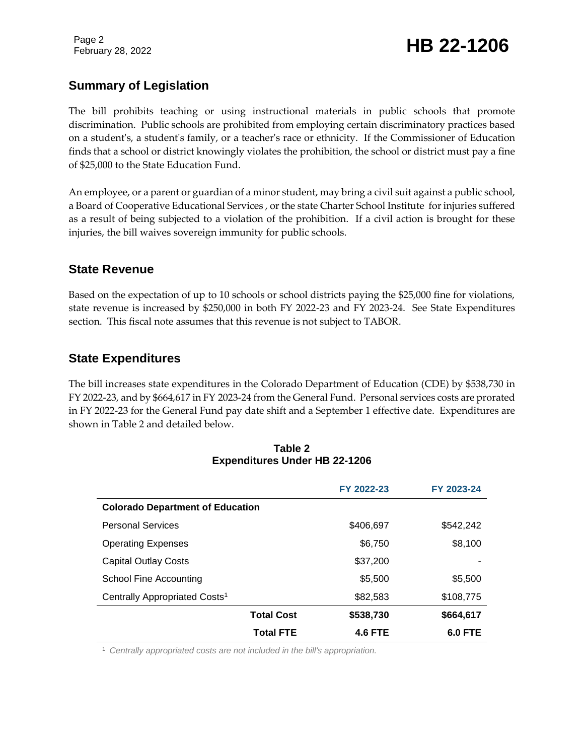Page 2

# February 28, 2022 **HB 22-1206**

### **Summary of Legislation**

The bill prohibits teaching or using instructional materials in public schools that promote discrimination. Public schools are prohibited from employing certain discriminatory practices based on a student's, a student's family, or a teacher's race or ethnicity. If the Commissioner of Education finds that a school or district knowingly violates the prohibition, the school or district must pay a fine of \$25,000 to the State Education Fund.

An employee, or a parent or guardian of a minor student, may bring a civil suit against a public school, a Board of Cooperative Educational Services , or the state Charter School Institute for injuries suffered as a result of being subjected to a violation of the prohibition. If a civil action is brought for these injuries, the bill waives sovereign immunity for public schools.

#### **State Revenue**

Based on the expectation of up to 10 schools or school districts paying the \$25,000 fine for violations, state revenue is increased by \$250,000 in both FY 2022-23 and FY 2023-24. See State Expenditures section. This fiscal note assumes that this revenue is not subject to TABOR.

### **State Expenditures**

The bill increases state expenditures in the Colorado Department of Education (CDE) by \$538,730 in FY 2022-23, and by \$664,617 in FY 2023-24 from the General Fund. Personal services costs are prorated in FY 2022-23 for the General Fund pay date shift and a September 1 effective date. Expenditures are shown in Table 2 and detailed below.

|                                           | FY 2022-23     | FY 2023-24 |  |  |
|-------------------------------------------|----------------|------------|--|--|
| <b>Colorado Department of Education</b>   |                |            |  |  |
| <b>Personal Services</b>                  | \$406,697      | \$542,242  |  |  |
| <b>Operating Expenses</b>                 | \$6,750        | \$8,100    |  |  |
| <b>Capital Outlay Costs</b>               | \$37,200       |            |  |  |
| School Fine Accounting                    | \$5,500        | \$5,500    |  |  |
| Centrally Appropriated Costs <sup>1</sup> | \$82,583       | \$108,775  |  |  |
| <b>Total Cost</b>                         | \$538,730      | \$664,617  |  |  |
| <b>Total FTE</b>                          | <b>4.6 FTE</b> | 6.0 FTE    |  |  |

#### **Table 2 Expenditures Under HB 22-1206**

<sup>1</sup> *Centrally appropriated costs are not included in the bill's appropriation.*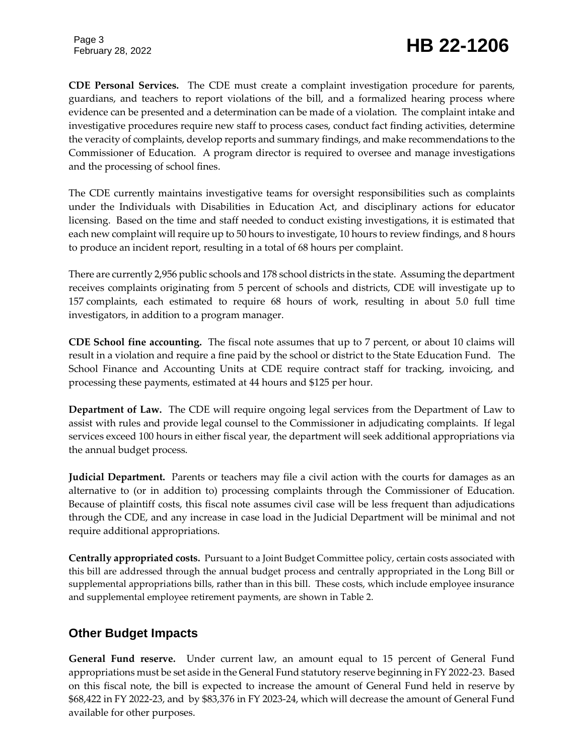Page 3

# February 28, 2022 **HB 22-1206**

**CDE Personal Services.** The CDE must create a complaint investigation procedure for parents, guardians, and teachers to report violations of the bill, and a formalized hearing process where evidence can be presented and a determination can be made of a violation. The complaint intake and investigative procedures require new staff to process cases, conduct fact finding activities, determine the veracity of complaints, develop reports and summary findings, and make recommendations to the Commissioner of Education. A program director is required to oversee and manage investigations and the processing of school fines.

The CDE currently maintains investigative teams for oversight responsibilities such as complaints under the Individuals with Disabilities in Education Act, and disciplinary actions for educator licensing. Based on the time and staff needed to conduct existing investigations, it is estimated that each new complaint will require up to 50 hours to investigate, 10 hours to review findings, and 8 hours to produce an incident report, resulting in a total of 68 hours per complaint.

There are currently 2,956 public schools and 178 school districts in the state. Assuming the department receives complaints originating from 5 percent of schools and districts, CDE will investigate up to 157 complaints, each estimated to require 68 hours of work, resulting in about 5.0 full time investigators, in addition to a program manager.

**CDE School fine accounting.** The fiscal note assumes that up to 7 percent, or about 10 claims will result in a violation and require a fine paid by the school or district to the State Education Fund. The School Finance and Accounting Units at CDE require contract staff for tracking, invoicing, and processing these payments, estimated at 44 hours and \$125 per hour.

**Department of Law.** The CDE will require ongoing legal services from the Department of Law to assist with rules and provide legal counsel to the Commissioner in adjudicating complaints. If legal services exceed 100 hours in either fiscal year, the department will seek additional appropriations via the annual budget process.

**Judicial Department.** Parents or teachers may file a civil action with the courts for damages as an alternative to (or in addition to) processing complaints through the Commissioner of Education. Because of plaintiff costs, this fiscal note assumes civil case will be less frequent than adjudications through the CDE, and any increase in case load in the Judicial Department will be minimal and not require additional appropriations.

**Centrally appropriated costs.** Pursuant to a Joint Budget Committee policy, certain costs associated with this bill are addressed through the annual budget process and centrally appropriated in the Long Bill or supplemental appropriations bills, rather than in this bill. These costs, which include employee insurance and supplemental employee retirement payments, are shown in Table 2.

### **Other Budget Impacts**

**General Fund reserve.** Under current law, an amount equal to 15 percent of General Fund appropriations must be set aside in the General Fund statutory reserve beginning in FY 2022-23. Based on this fiscal note, the bill is expected to increase the amount of General Fund held in reserve by \$68,422 in FY 2022-23, and by \$83,376 in FY 2023-24, which will decrease the amount of General Fund available for other purposes.